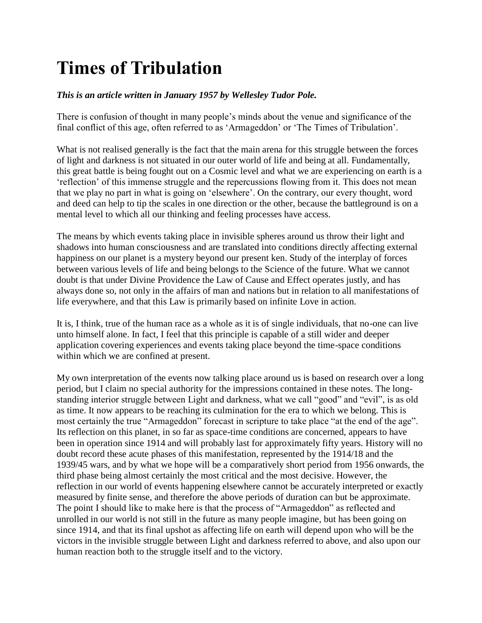## **Times of Tribulation**

## *This is an article written in January 1957 by Wellesley Tudor Pole.*

There is confusion of thought in many people's minds about the venue and significance of the final conflict of this age, often referred to as 'Armageddon' or 'The Times of Tribulation'.

What is not realised generally is the fact that the main arena for this struggle between the forces of light and darkness is not situated in our outer world of life and being at all. Fundamentally, this great battle is being fought out on a Cosmic level and what we are experiencing on earth is a 'reflection' of this immense struggle and the repercussions flowing from it. This does not mean that we play no part in what is going on 'elsewhere'. On the contrary, our every thought, word and deed can help to tip the scales in one direction or the other, because the battleground is on a mental level to which all our thinking and feeling processes have access.

The means by which events taking place in invisible spheres around us throw their light and shadows into human consciousness and are translated into conditions directly affecting external happiness on our planet is a mystery beyond our present ken. Study of the interplay of forces between various levels of life and being belongs to the Science of the future. What we cannot doubt is that under Divine Providence the Law of Cause and Effect operates justly, and has always done so, not only in the affairs of man and nations but in relation to all manifestations of life everywhere, and that this Law is primarily based on infinite Love in action.

It is, I think, true of the human race as a whole as it is of single individuals, that no-one can live unto himself alone. In fact, I feel that this principle is capable of a still wider and deeper application covering experiences and events taking place beyond the time-space conditions within which we are confined at present.

My own interpretation of the events now talking place around us is based on research over a long period, but I claim no special authority for the impressions contained in these notes. The longstanding interior struggle between Light and darkness, what we call "good" and "evil", is as old as time. It now appears to be reaching its culmination for the era to which we belong. This is most certainly the true "Armageddon" forecast in scripture to take place "at the end of the age". Its reflection on this planet, in so far as space-time conditions are concerned, appears to have been in operation since 1914 and will probably last for approximately fifty years. History will no doubt record these acute phases of this manifestation, represented by the 1914/18 and the 1939/45 wars, and by what we hope will be a comparatively short period from 1956 onwards, the third phase being almost certainly the most critical and the most decisive. However, the reflection in our world of events happening elsewhere cannot be accurately interpreted or exactly measured by finite sense, and therefore the above periods of duration can but be approximate. The point I should like to make here is that the process of "Armageddon" as reflected and unrolled in our world is not still in the future as many people imagine, but has been going on since 1914, and that its final upshot as affecting life on earth will depend upon who will be the victors in the invisible struggle between Light and darkness referred to above, and also upon our human reaction both to the struggle itself and to the victory.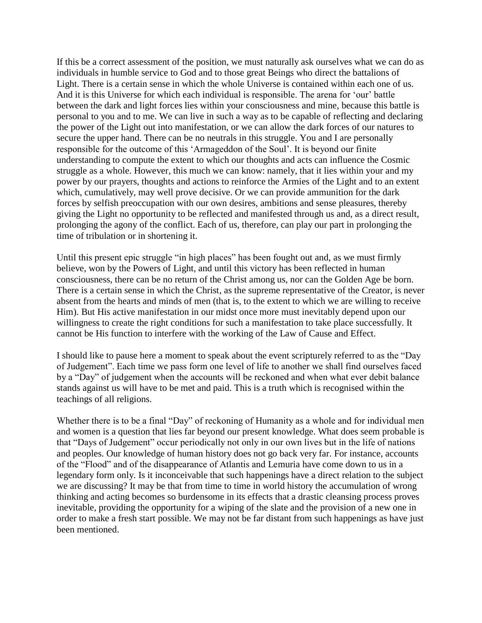If this be a correct assessment of the position, we must naturally ask ourselves what we can do as individuals in humble service to God and to those great Beings who direct the battalions of Light. There is a certain sense in which the whole Universe is contained within each one of us. And it is this Universe for which each individual is responsible. The arena for 'our' battle between the dark and light forces lies within your consciousness and mine, because this battle is personal to you and to me. We can live in such a way as to be capable of reflecting and declaring the power of the Light out into manifestation, or we can allow the dark forces of our natures to secure the upper hand. There can be no neutrals in this struggle. You and I are personally responsible for the outcome of this 'Armageddon of the Soul'. It is beyond our finite understanding to compute the extent to which our thoughts and acts can influence the Cosmic struggle as a whole. However, this much we can know: namely, that it lies within your and my power by our prayers, thoughts and actions to reinforce the Armies of the Light and to an extent which, cumulatively, may well prove decisive. Or we can provide ammunition for the dark forces by selfish preoccupation with our own desires, ambitions and sense pleasures, thereby giving the Light no opportunity to be reflected and manifested through us and, as a direct result, prolonging the agony of the conflict. Each of us, therefore, can play our part in prolonging the time of tribulation or in shortening it.

Until this present epic struggle "in high places" has been fought out and, as we must firmly believe, won by the Powers of Light, and until this victory has been reflected in human consciousness, there can be no return of the Christ among us, nor can the Golden Age be born. There is a certain sense in which the Christ, as the supreme representative of the Creator, is never absent from the hearts and minds of men (that is, to the extent to which we are willing to receive Him). But His active manifestation in our midst once more must inevitably depend upon our willingness to create the right conditions for such a manifestation to take place successfully. It cannot be His function to interfere with the working of the Law of Cause and Effect.

I should like to pause here a moment to speak about the event scripturely referred to as the "Day of Judgement". Each time we pass form one level of life to another we shall find ourselves faced by a "Day" of judgement when the accounts will be reckoned and when what ever debit balance stands against us will have to be met and paid. This is a truth which is recognised within the teachings of all religions.

Whether there is to be a final "Day" of reckoning of Humanity as a whole and for individual men and women is a question that lies far beyond our present knowledge. What does seem probable is that "Days of Judgement" occur periodically not only in our own lives but in the life of nations and peoples. Our knowledge of human history does not go back very far. For instance, accounts of the "Flood" and of the disappearance of Atlantis and Lemuria have come down to us in a legendary form only. Is it inconceivable that such happenings have a direct relation to the subject we are discussing? It may be that from time to time in world history the accumulation of wrong thinking and acting becomes so burdensome in its effects that a drastic cleansing process proves inevitable, providing the opportunity for a wiping of the slate and the provision of a new one in order to make a fresh start possible. We may not be far distant from such happenings as have just been mentioned.